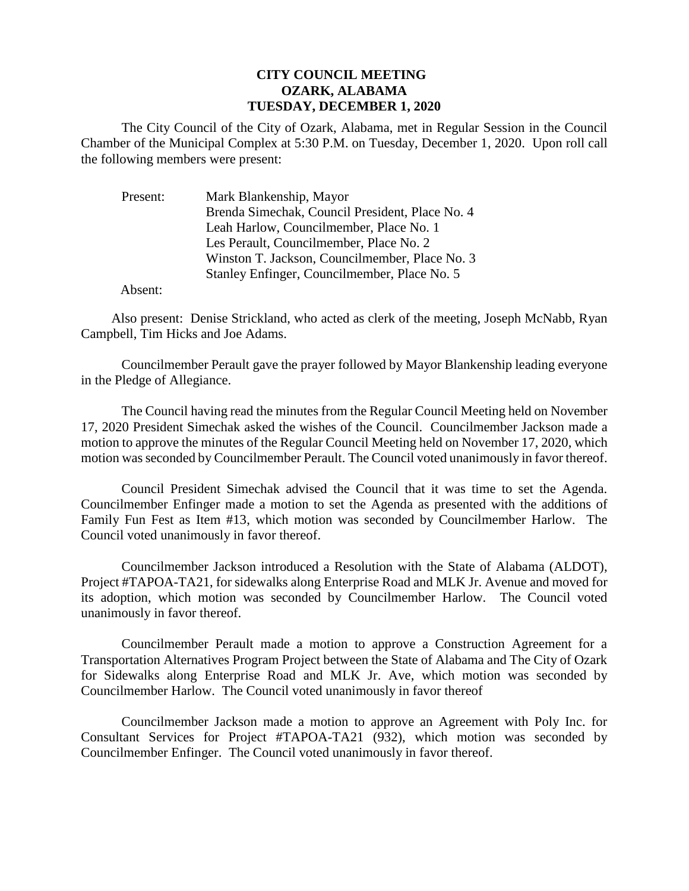## **CITY COUNCIL MEETING OZARK, ALABAMA TUESDAY, DECEMBER 1, 2020**

The City Council of the City of Ozark, Alabama, met in Regular Session in the Council Chamber of the Municipal Complex at 5:30 P.M. on Tuesday, December 1, 2020. Upon roll call the following members were present:

| Present: | Mark Blankenship, Mayor                         |
|----------|-------------------------------------------------|
|          | Brenda Simechak, Council President, Place No. 4 |
|          | Leah Harlow, Councilmember, Place No. 1         |
|          | Les Perault, Councilmember, Place No. 2         |
|          | Winston T. Jackson, Councilmember, Place No. 3  |
|          | Stanley Enfinger, Councilmember, Place No. 5    |

Absent:

Also present: Denise Strickland, who acted as clerk of the meeting, Joseph McNabb, Ryan Campbell, Tim Hicks and Joe Adams.

Councilmember Perault gave the prayer followed by Mayor Blankenship leading everyone in the Pledge of Allegiance.

The Council having read the minutes from the Regular Council Meeting held on November 17, 2020 President Simechak asked the wishes of the Council. Councilmember Jackson made a motion to approve the minutes of the Regular Council Meeting held on November 17, 2020, which motion was seconded by Councilmember Perault. The Council voted unanimously in favor thereof.

Council President Simechak advised the Council that it was time to set the Agenda. Councilmember Enfinger made a motion to set the Agenda as presented with the additions of Family Fun Fest as Item #13, which motion was seconded by Councilmember Harlow. The Council voted unanimously in favor thereof.

Councilmember Jackson introduced a Resolution with the State of Alabama (ALDOT), Project #TAPOA-TA21, for sidewalks along Enterprise Road and MLK Jr. Avenue and moved for its adoption, which motion was seconded by Councilmember Harlow. The Council voted unanimously in favor thereof.

Councilmember Perault made a motion to approve a Construction Agreement for a Transportation Alternatives Program Project between the State of Alabama and The City of Ozark for Sidewalks along Enterprise Road and MLK Jr. Ave, which motion was seconded by Councilmember Harlow. The Council voted unanimously in favor thereof

Councilmember Jackson made a motion to approve an Agreement with Poly Inc. for Consultant Services for Project #TAPOA-TA21 (932), which motion was seconded by Councilmember Enfinger. The Council voted unanimously in favor thereof.